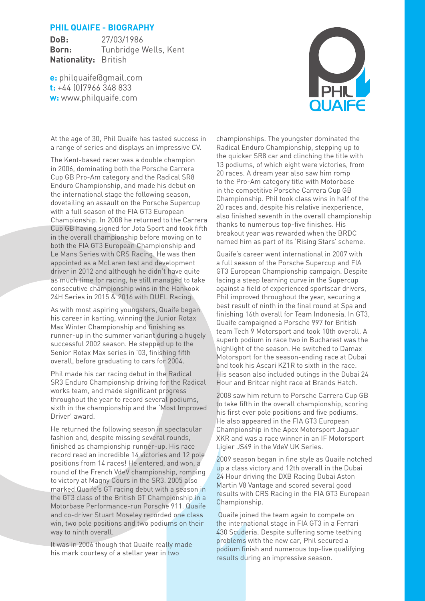# **PHIL QUAIFE - BIOGRAPHY**

**DoB:** 27/03/1986 **Born:** Tunbridge Wells, Kent **Nationality:** British

**e:** philquaife@gmail.com **t:** +44 (0)7966 348 833 **w:** www.philquaife.com



At the age of 30, Phil Quaife has tasted success in a range of series and displays an impressive CV.

The Kent-based racer was a double champion in 2006, dominating both the Porsche Carrera Cup GB Pro-Am category and the Radical SR8 Enduro Championship, and made his debut on the international stage the following season, dovetailing an assault on the Porsche Supercup with a full season of the FIA GT3 European Championship. In 2008 he returned to the Carrera Cup GB having signed for Jota Sport and took fifth in the overall championship before moving on to both the FIA GT3 European Championship and Le Mans Series with CRS Racing. He was then appointed as a McLaren test and development driver in 2012 and although he didn't have quite as much time for racing, he still managed to take consecutive championship wins in the Hankook 24H Series in 2015 & 2016 with DUEL Racing.

As with most aspiring youngsters, Quaife began his career in karting, winning the Junior Rotax Max Winter Championship and finishing as runner-up in the summer variant during a hugely successful 2002 season. He stepped up to the Senior Rotax Max series in '03, finishing fifth overall, before graduating to cars for 2004.

Phil made his car racing debut in the Radical SR3 Enduro Championship driving for the Radical works team, and made significant progress throughout the year to record several podiums, sixth in the championship and the 'Most Improved Driver' award.

He returned the following season in spectacular fashion and, despite missing several rounds, finished as championship runner-up. His race record read an incredible 14 victories and 12 pole positions from 14 races! He entered, and won, a round of the French VdeV championship, romping to victory at Magny Cours in the SR3. 2005 also marked Quaife's GT racing debut with a season in the GT3 class of the British GT Championship in a Motorbase Performance-run Porsche 911. Quaife and co-driver Stuart Moseley recorded one class win, two pole positions and two podiums on their way to ninth overall.

It was in 2006 though that Quaife really made his mark courtesy of a stellar year in two

championships. The youngster dominated the Radical Enduro Championship, stepping up to the quicker SR8 car and clinching the title with 13 podiums, of which eight were victories, from 20 races. A dream year also saw him romp to the Pro-Am category title with Motorbase in the competitive Porsche Carrera Cup GB Championship. Phil took class wins in half of the 20 races and, despite his relative inexperience, also finished seventh in the overall championship thanks to numerous top-five finishes. His breakout year was rewarded when the BRDC named him as part of its 'Rising Stars' scheme.

Quaife's career went international in 2007 with a full season of the Porsche Supercup and FIA GT3 European Championship campaign. Despite facing a steep learning curve in the Supercup against a field of experienced sportscar drivers, Phil improved throughout the year, securing a best result of ninth in the final round at Spa and finishing 16th overall for Team Indonesia. In GT3, Quaife campaigned a Porsche 997 for British team Tech 9 Motorsport and took 10th overall. A superb podium in race two in Bucharest was the highlight of the season. He switched to Damax Motorsport for the season-ending race at Dubai and took his Ascari KZ1R to sixth in the race. His season also included outings in the Dubai 24 Hour and Britcar night race at Brands Hatch.

2008 saw him return to Porsche Carrera Cup GB to take fifth in the overall championship, scoring his first ever pole positions and five podiums. He also appeared in the FIA GT3 European Championship in the Apex Motorsport Jaguar XKR and was a race winner in an IF Motorsport Ligier JS49 in the VdeV UK Series.

2009 season began in fine style as Quaife notched up a class victory and 12th overall in the Dubai 24 Hour driving the DXB Racing Dubai Aston Martin V8 Vantage and scored several good results with CRS Racing in the FIA GT3 European Championship.

 Quaife joined the team again to compete on the international stage in FIA GT3 in a Ferrari 430 Scuderia. Despite suffering some teething problems with the new car, Phil secured a podium finish and numerous top-five qualifying results during an impressive season.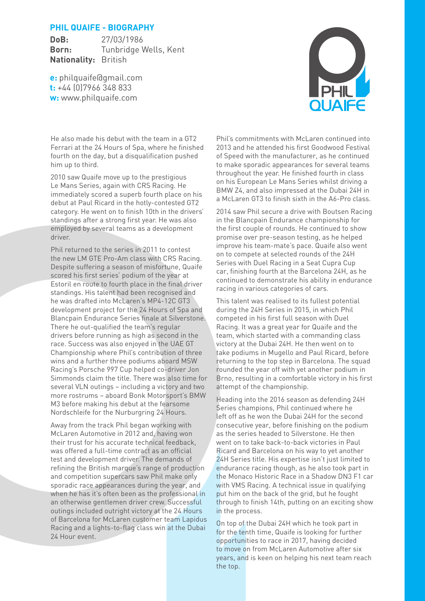# **PHIL QUAIFE - BIOGRAPHY**

**DoB:** 27/03/1986 **Born:** Tunbridge Wells, Kent **Nationality:** British

**e:** philquaife@gmail.com **t:** +44 (0)7966 348 833 **w:** www.philquaife.com



He also made his debut with the team in a GT2 Ferrari at the 24 Hours of Spa, where he finished fourth on the day, but a disqualification pushed him up to third.

2010 saw Quaife move up to the prestigious Le Mans Series, again with CRS Racing. He immediately scored a superb fourth place on his debut at Paul Ricard in the hotly-contested GT2 category. He went on to finish 10th in the drivers' standings after a strong first year. He was also employed by several teams as a development driver.

Phil returned to the series in 2011 to contest the new LM GTE Pro-Am class with CRS Racing. Despite suffering a season of misfortune, Quaife scored his first series' podium of the year at Estoril en route to fourth place in the final driver standings. His talent had been recognised and he was drafted into McLaren's MP4-12C GT3 development project for the 24 Hours of Spa and Blancpain Endurance Series finale at Silverstone. There he out-qualified the team's regular drivers before running as high as second in the race. Success was also enjoyed in the UAE GT Championship where Phil's contribution of three wins and a further three podiums aboard MSW Racing's Porsche 997 Cup helped co-driver Jon Simmonds claim the title. There was also time for several VLN outings – including a victory and two more rostrums – aboard Bonk Motorsport's BMW M3 before making his debut at the fearsome Nordschleife for the Nurburgring 24 Hours.

Away from the track Phil began working with McLaren Automotive in 2012 and, having won their trust for his accurate technical feedback, was offered a full-time contract as an official test and development driver. The demands of refining the British marque's range of production and competition supercars saw Phil make only sporadic race appearances during the year, and when he has it's often been as the professional in an otherwise gentlemen driver crew. Successful outings included outright victory at the 24 Hours of Barcelona for McLaren customer team Lapidus Racing and a lights-to-flag class win at the Dubai 24 Hour event.

Phil's commitments with McLaren continued into 2013 and he attended his first Goodwood Festival of Speed with the manufacturer, as he continued to make sporadic appearances for several teams throughout the year. He finished fourth in class on his European Le Mans Series whilst driving a BMW Z4, and also impressed at the Dubai 24H in a McLaren GT3 to finish sixth in the A6-Pro class.

2014 saw Phil secure a drive with Boutsen Racing in the Blancpain Endurance championship for the first couple of rounds. He continued to show promise over pre-season testing, as he helped improve his team-mate's pace. Quaife also went on to compete at selected rounds of the 24H Series with Duel Racing in a Seat Cupra Cup car, finishing fourth at the Barcelona 24H, as he continued to demonstrate his ability in endurance racing in various categories of cars.

This talent was realised to its fullest potential during the 24H Series in 2015, in which Phil competed in his first full season with Duel Racing. It was a great year for Quaife and the team, which started with a commanding class victory at the Dubai 24H. He then went on to take podiums in Mugello and Paul Ricard, before returning to the top step in Barcelona. The squad rounded the year off with yet another podium in Brno, resulting in a comfortable victory in his first attempt of the championship.

Heading into the 2016 season as defending 24H Series champions, Phil continued where he left off as he won the Dubai 24H for the second consecutive year, before finishing on the podium as the series headed to Silverstone. He then went on to take back-to-back victories in Paul Ricard and Barcelona on his way to yet another 24H Series title. His expertise isn't just limited to endurance racing though, as he also took part in the Monaco Historic Race in a Shadow DN3 F1 car with VMS Racing. A technical issue in qualifying put him on the back of the grid, but he fought through to finish 14th, putting on an exciting show in the process.

On top of the Dubai 24H which he took part in for the tenth time, Quaife is looking for further opportunities to race in 2017, having decided to move on from McLaren Automotive after six years, and is keen on helping his next team reach the top.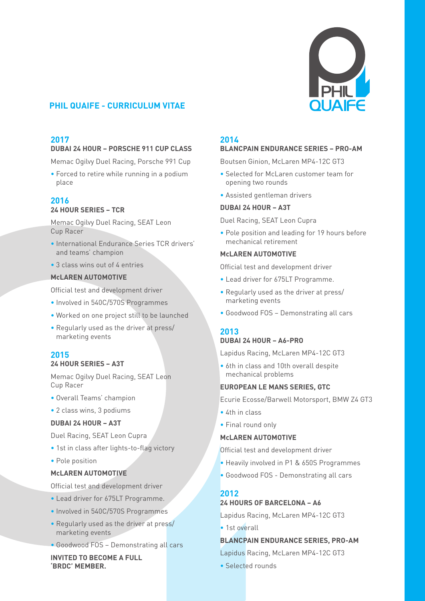

# **PHIL QUAIFE - CURRICULUM VITAE**

# **2017**

# **DUBAI 24 HOUR – PORSCHE 911 CUP CLASS**

Memac Ogilvy Duel Racing, Porsche 991 Cup

• Forced to retire while running in a podium place

### **2016 24 HOUR SERIES – TCR**

Memac Ogilvy Duel Racing, SEAT Leon Cup Racer

- International Endurance Series TCR drivers' and teams' champion
- 3 class wins out of 4 entries

### **McLAREN AUTOMOTIVE**

Official test and development driver

- Involved in 540C/570S Programmes
- Worked on one project still to be launched
- Regularly used as the driver at press/ marketing events

### **2015 24 HOUR SERIES – A3T**

Memac Ogilvy Duel Racing, SEAT Leon Cup Racer

- Overall Teams' champion
- 2 class wins, 3 podiums

#### **DUBAI 24 HOUR – A3T**

Duel Racing, SEAT Leon Cupra

- 1st in class after lights-to-flag victory
- Pole position

### **McLAREN AUTOMOTIVE**

Official test and development driver

- Lead driver for 675LT Programme.
- Involved in 540C/570S Programmes
- Regularly used as the driver at press/ marketing events
- Goodwood FOS Demonstrating all cars

**INVITED TO BECOME A FULL 'BRDC' MEMBER.**

#### **2014**

### **BLANCPAIN ENDURANCE SERIES – PRO-AM**

Boutsen Ginion, McLaren MP4-12C GT3

- Selected for McLaren customer team for opening two rounds
- Assisted gentleman drivers

#### **DUBAI 24 HOUR – A3T**

Duel Racing, SEAT Leon Cupra

• Pole position and leading for 19 hours before mechanical retirement

#### **McLAREN AUTOMOTIVE**

Official test and development driver

- Lead driver for 675LT Programme.
- Regularly used as the driver at press/ marketing events
- Goodwood FOS Demonstrating all cars

# **2013 DUBAI 24 HOUR – A6-PRO**

Lapidus Racing, McLaren MP4-12C GT3

• 6th in class and 10th overall despite mechanical problems

### **EUROPEAN LE MANS SERIES, GTC**

Ecurie Ecosse/Barwell Motorsport, BMW Z4 GT3

- 4th in class
- Final round only

#### **McLAREN AUTOMOTIVE**

Official test and development driver

- Heavily involved in P1 & 650S Programmes
- Goodwood FOS Demonstrating all cars

#### **2012**

### **24 HOURS OF BARCELONA – A6**

Lapidus Racing, McLaren MP4-12C GT3

• 1st overall

#### **BLANCPAIN ENDURANCE SERIES, PRO-AM**

Lapidus Racing, McLaren MP4-12C GT3

• Selected rounds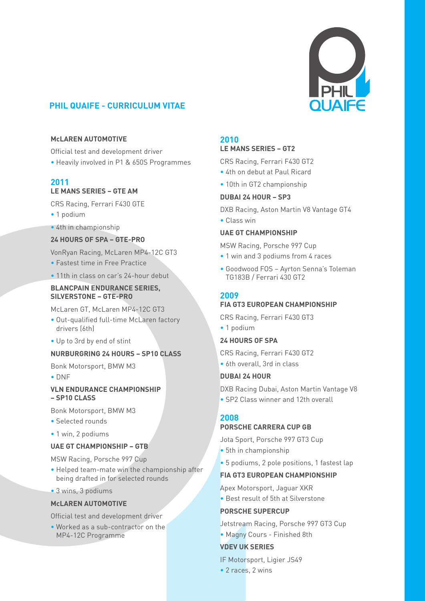

# **PHIL QUAIFE - CURRICULUM VITAE**

### **McLAREN AUTOMOTIVE**

Official test and development driver

• Heavily involved in P1 & 650S Programmes

# **2011**

# **LE MANS SERIES – GTE AM**

CRS Racing, Ferrari F430 GTE

- 1 podium
- 4th in championship

### **24 HOURS OF SPA – GTE-PRO**

VonRyan Racing, McLaren MP4-12C GT3

- Fastest time in Free Practice
- 11th in class on car's 24-hour debut

### **BLANCPAIN ENDURANCE SERIES, SILVERSTONE – GTE-PRO**

McLaren GT, McLaren MP4-12C GT3

- Out-qualified full-time McLaren factory drivers (6th)
- Up to 3rd by end of stint

### **NURBURGRING 24 HOURS – SP10 CLASS**

Bonk Motorsport, BMW M3

• DNF

#### **VLN ENDURANCE CHAMPIONSHIP – SP10 CLASS**

Bonk Motorsport, BMW M3

- Selected rounds
- 1 win, 2 podiums

### **UAE GT CHAMPIONSHIP – GTB**

MSW Racing, Porsche 997 Cup

- Helped team-mate win the championship after being drafted in for selected rounds
- 3 wins, 3 podiums

### **McLAREN AUTOMOTIVE**

Official test and development driver

• Worked as a sub-contractor on the MP4-12C Programme

### **2010**

#### **LE MANS SERIES – GT2**

CRS Racing, Ferrari F430 GT2

- 4th on debut at Paul Ricard
- 10th in GT2 championship

### **DUBAI 24 HOUR – SP3**

DXB Racing, Aston Martin V8 Vantage GT4

• Class win

### **UAE GT CHAMPIONSHIP**

MSW Racing, Porsche 997 Cup

- 1 win and 3 podiums from 4 races
- Goodwood FOS Ayrton Senna's Toleman TG183B / Ferrari 430 GT2

# **2009**

# **FIA GT3 EUROPEAN CHAMPIONSHIP**

CRS Racing, Ferrari F430 GT3

• 1 podium

### **24 HOURS OF SPA**

CRS Racing, Ferrari F430 GT2 • 6th overall, 3rd in class

### **DUBAI 24 HOUR**

DXB Racing Dubai, Aston Martin Vantage V8 • SP2 Class winner and 12th overall

# **2008**

# **PORSCHE CARRERA CUP GB**

Jota Sport, Porsche 997 GT3 Cup

- 5th in championship
- 5 podiums, 2 pole positions, 1 fastest lap

### **FIA GT3 EUROPEAN CHAMPIONSHIP**

Apex Motorsport, Jaguar XKR

• Best result of 5th at Silverstone

# **PORSCHE SUPERCUP**

Jetstream Racing, Porsche 997 GT3 Cup

• Magny Cours - Finished 8th

# **VDEV UK SERIES**

IF Motorsport, Ligier JS49 • 2 races, 2 wins